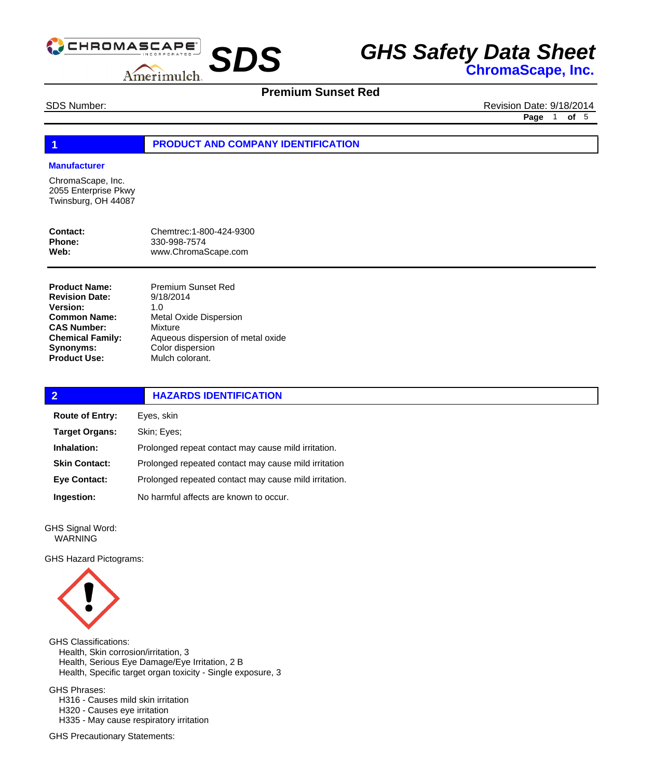

## **Premium Sunset Red**

SDS Number: Revision Date: 9/18/2014 **Page** 1 **of** 5

#### **1 PRODUCT AND COMPANY IDENTIFICATION**

#### **Manufacturer**

ChromaScape, Inc. 2055 Enterprise Pkwy Twinsburg, OH 44087

| Contact: | Chemtrec: 1-800-424-9300 |
|----------|--------------------------|
| Phone:   | 330-998-7574             |
| Web:     | www.ChromaScape.com      |

**Product Name: Revision Date: Version: Common Name: CAS Number: Chemical Family: Synonyms: Product Use:**

Premium Sunset Red 9/18/2014 1.0 Metal Oxide Dispersion Mixture Aqueous dispersion of metal oxide Color dispersion Mulch colorant.

| $\overline{2}$         | <b>HAZARDS IDENTIFICATION</b>                         |  |
|------------------------|-------------------------------------------------------|--|
| <b>Route of Entry:</b> | Eyes, skin                                            |  |
| <b>Target Organs:</b>  | Skin; Eyes;                                           |  |
| Inhalation:            | Prolonged repeat contact may cause mild irritation.   |  |
| <b>Skin Contact:</b>   | Prolonged repeated contact may cause mild irritation  |  |
| <b>Eye Contact:</b>    | Prolonged repeated contact may cause mild irritation. |  |
| Ingestion:             | No harmful affects are known to occur.                |  |
|                        |                                                       |  |

GHS Signal Word: WARNING

GHS Hazard Pictograms:



GHS Classifications: Health, Skin corrosion/irritation, 3 Health, Serious Eye Damage/Eye Irritation, 2 B Health, Specific target organ toxicity - Single exposure, 3 GHS Phrases:

 H316 - Causes mild skin irritation H320 - Causes eye irritation H335 - May cause respiratory irritation

GHS Precautionary Statements: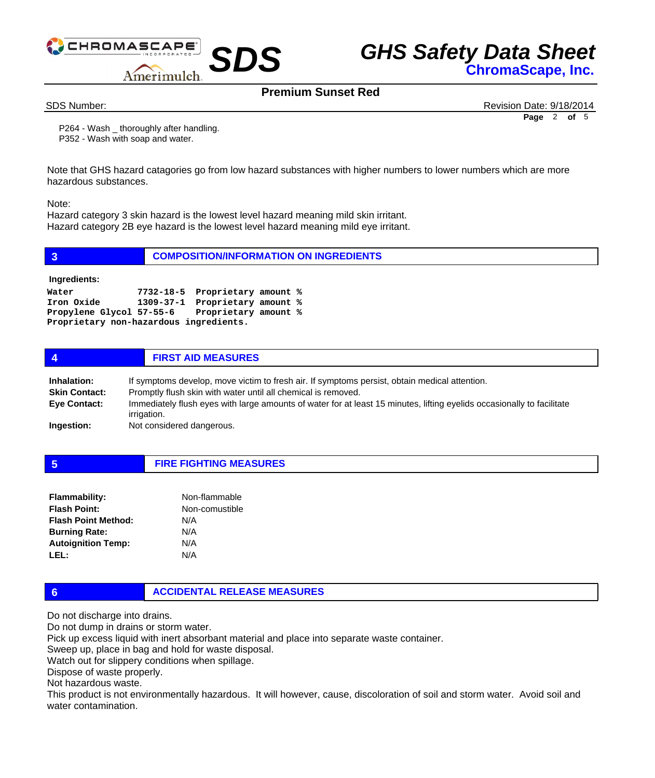



## **Premium Sunset Red**

SDS Number: Revision Date: 9/18/2014 **Page** 2 **of** 5

 P264 - Wash \_ thoroughly after handling. P352 - Wash with soap and water.

Note that GHS hazard catagories go from low hazard substances with higher numbers to lower numbers which are more hazardous substances.

Note:

Hazard category 3 skin hazard is the lowest level hazard meaning mild skin irritant. Hazard category 2B eye hazard is the lowest level hazard meaning mild eye irritant.

| $\overline{3}$                                                | <b>COMPOSITION/INFORMATION ON INGREDIENTS</b>                                                                     |  |  |
|---------------------------------------------------------------|-------------------------------------------------------------------------------------------------------------------|--|--|
| Ingredients:                                                  |                                                                                                                   |  |  |
| Water<br>Iron Oxide<br>Proprietary non-hazardous ingredients. | 7732-18-5 Proprietary amount %<br>1309-37-1 Proprietary amount %<br>Propylene Glycol 57-55-6 Proprietary amount % |  |  |
| 4                                                             | <b>FIRST AID MEASURES</b>                                                                                         |  |  |

| Inhalation:          | If symptoms develop, move victim to fresh air. If symptoms persist, obtain medical attention.                                         |
|----------------------|---------------------------------------------------------------------------------------------------------------------------------------|
| <b>Skin Contact:</b> | Promptly flush skin with water until all chemical is removed.                                                                         |
| <b>Eye Contact:</b>  | Immediately flush eyes with large amounts of water for at least 15 minutes, lifting eyelids occasionally to facilitate<br>irrigation. |
| Ingestion:           | Not considered dangerous.                                                                                                             |

**5 FIRE FIGHTING MEASURES**

| <b>Flammability:</b>       | Non-flammable  |
|----------------------------|----------------|
| <b>Flash Point:</b>        | Non-comustible |
| <b>Flash Point Method:</b> | N/A            |
| <b>Burning Rate:</b>       | N/A            |
| <b>Autoignition Temp:</b>  | N/A            |
| LEL:                       | N/A            |

### **6 ACCIDENTAL RELEASE MEASURES**

Do not discharge into drains.

Do not dump in drains or storm water.

Pick up excess liquid with inert absorbant material and place into separate waste container.

Sweep up, place in bag and hold for waste disposal.

Watch out for slippery conditions when spillage.

Dispose of waste properly.

Not hazardous waste.

This product is not environmentally hazardous. It will however, cause, discoloration of soil and storm water. Avoid soil and water contamination.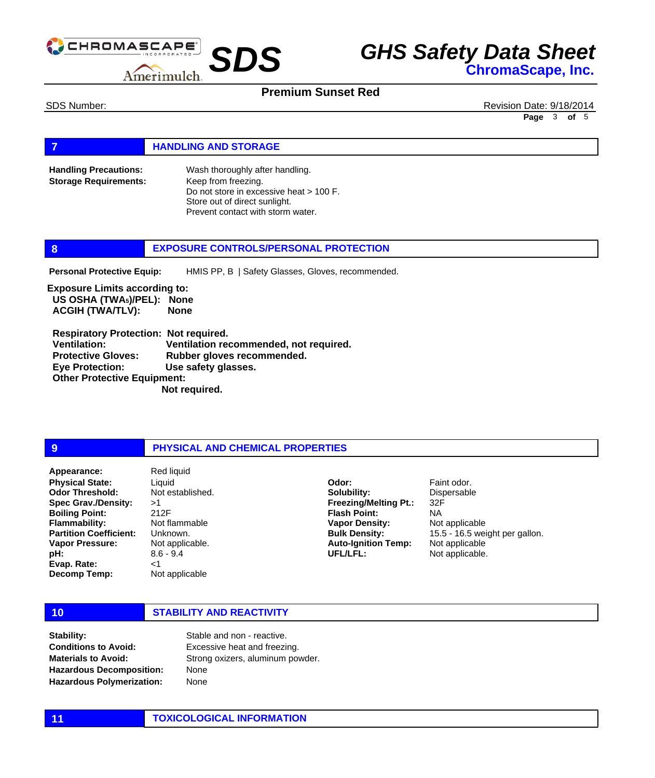

### **Premium Sunset Red**

SDS Number: Revision Date: 9/18/2014 **Page** 3 **of** 5

#### **FIGURE 12 IN STORAGE**

Wash thoroughly after handling. Keep from freezing. Do not store in excessive heat > 100 F. Store out of direct sunlight. Prevent contact with storm water. **Handling Precautions: Storage Requirements:**

#### **8 EXPOSURE CONTROLS/PERSONAL PROTECTION**

HMIS PP, B | Safety Glasses, Gloves, recommended. **Personal Protective Equip:**

**Exposure Limits according to: US OSHA (TWA5)/PEL): None ACGIH (TWA/TLV): None** 

 **Respiratory Protection: Not required. Ventilation: Ventilation recommended, not required. Protective Gloves: Rubber gloves recommended. Eye Protection: Use safety glasses. Other Protective Equipment: Not required.** 

#### **9 PHYSICAL AND CHEMICAL PROPERTIES**

**Physical State: Odor Threshold: Spec Grav./Density: Boiling Point: Flammability: Partition Coefficient: Vapor Pressure: pH: Evap. Rate: Decomp Temp: Appearance:** Red liquid

Liquid Not established. >1 212F Not flammable Unknown. Not applicable. 8.6 - 9.4 <1 Not applicable

**Solubility: Freezing/Melting Pt.: Flash Point: Vapor Density: Bulk Density: Auto-Ignition Temp: UFL/LFL:**

**Odor:**

Faint odor. Dispersable 32F NA Not applicable 15.5 - 16.5 weight per gallon. Not applicable Not applicable.

### **10 STABILITY AND REACTIVITY**

**Stability: Conditions to Avoid: Materials to Avoid: Hazardous Decomposition: Hazardous Polymerization:**

Stable and non - reactive. Excessive heat and freezing. Strong oxizers, aluminum powder. None None

#### **11 TOXICOLOGICAL INFORMATION**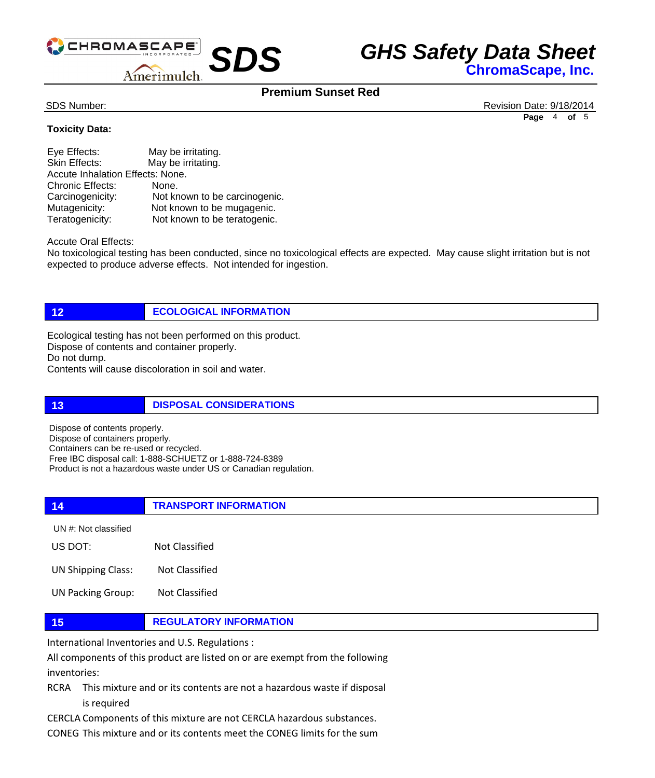

## **Premium Sunset Red**

SDS Number: Revision Date: 9/18/2014 **Page** 4 **of** 5

### **Toxicity Data:**

| Eye Effects:                     | May be irritating.            |  |
|----------------------------------|-------------------------------|--|
| Skin Effects:                    | May be irritating.            |  |
| Accute Inhalation Effects: None. |                               |  |
| <b>Chronic Effects:</b>          | None.                         |  |
| Carcinogenicity:                 | Not known to be carcinogenic. |  |
| Mutagenicity:                    | Not known to be mugagenic.    |  |
| Teratogenicity:                  | Not known to be teratogenic.  |  |

Accute Oral Effects:

No toxicological testing has been conducted, since no toxicological effects are expected. May cause slight irritation but is not expected to produce adverse effects. Not intended for ingestion.

**12 ECOLOGICAL INFORMATION** 

Ecological testing has not been performed on this product. Dispose of contents and container properly. Do not dump. Contents will cause discoloration in soil and water.

**13 DISPOSAL CONSIDERATIONS** 

Dispose of contents properly. Dispose of containers properly. Containers can be re-used or recycled. Free IBC disposal call: 1-888-SCHUETZ or 1-888-724-8389 Product is not a hazardous waste under US or Canadian regulation.

**14 TRANSPORT INFORMATION** US DOT: Not Classified UN #: Not classified

UN Shipping Class: Not Classified

UN Packing Group: Not Classified

#### **15 REGULATORY INFORMATION**

International Inventories and U.S. Regulations :

All components of this product are listed on or are exempt from the following inventories:

RCRA This mixture and or its contents are not a hazardous waste if disposal is required

CERCLA Components of this mixture are not CERCLA hazardous substances.

CONEG This mixture and or its contents meet the CONEG limits for the sum